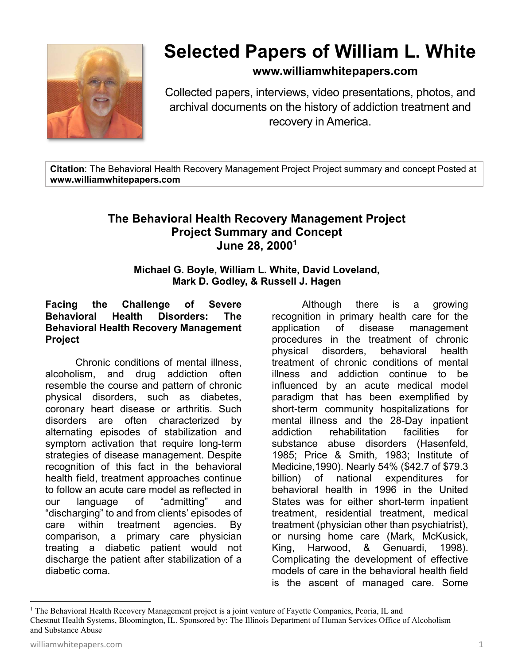

# **Selected Papers of William L. White**

### **www.williamwhitepapers.com**

Collected papers, interviews, video presentations, photos, and archival documents on the history of addiction treatment and recovery in America.

**Citation**: The Behavioral Health Recovery Management Project Project summary and concept Posted at **www.williamwhitepapers.com** 

## **The Behavioral Health Recovery Management Project Project Summary and Concept June 28, 20001**

#### **Michael G. Boyle, William L. White, David Loveland, Mark D. Godley, & Russell J. Hagen**

#### **Facing the Challenge of Severe Behavioral Health Disorders: The Behavioral Health Recovery Management Project**

Chronic conditions of mental illness, alcoholism, and drug addiction often resemble the course and pattern of chronic physical disorders, such as diabetes, coronary heart disease or arthritis. Such disorders are often characterized by alternating episodes of stabilization and symptom activation that require long-term strategies of disease management. Despite recognition of this fact in the behavioral health field, treatment approaches continue to follow an acute care model as reflected in our language of "admitting" and "discharging" to and from clients' episodes of care within treatment agencies. By comparison, a primary care physician treating a diabetic patient would not discharge the patient after stabilization of a diabetic coma.

Although there is a growing recognition in primary health care for the application of disease management procedures in the treatment of chronic physical disorders, behavioral health treatment of chronic conditions of mental illness and addiction continue to be influenced by an acute medical model paradigm that has been exemplified by short-term community hospitalizations for mental illness and the 28-Day inpatient addiction rehabilitation facilities for substance abuse disorders (Hasenfeld, 1985; Price & Smith, 1983; Institute of Medicine,1990). Nearly 54% (\$42.7 of \$79.3 billion) of national expenditures for behavioral health in 1996 in the United States was for either short-term inpatient treatment, residential treatment, medical treatment (physician other than psychiatrist), or nursing home care (Mark, McKusick, King, Harwood, & Genuardi, 1998). Complicating the development of effective models of care in the behavioral health field is the ascent of managed care. Some

<sup>&</sup>lt;sup>1</sup> The Behavioral Health Recovery Management project is a joint venture of Fayette Companies, Peoria, IL and Chestnut Health Systems, Bloomington, IL. Sponsored by: The Illinois Department of Human Services Office of Alcoholism and Substance Abuse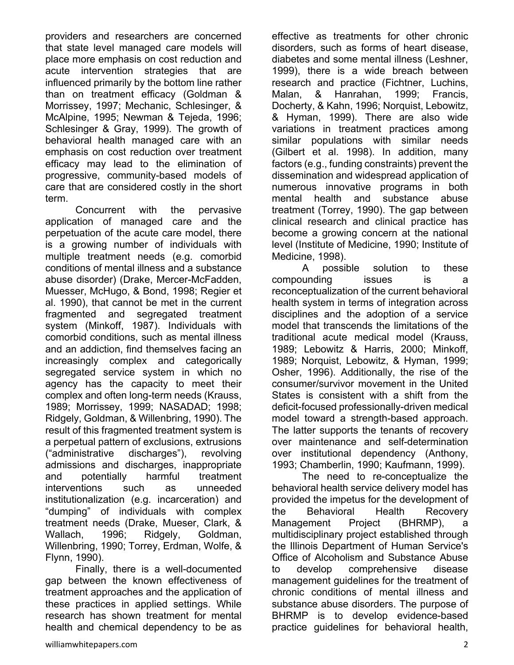providers and researchers are concerned that state level managed care models will place more emphasis on cost reduction and acute intervention strategies that are influenced primarily by the bottom line rather than on treatment efficacy (Goldman & Morrissey, 1997; Mechanic, Schlesinger, & McAlpine, 1995; Newman & Tejeda, 1996; Schlesinger & Gray, 1999). The growth of behavioral health managed care with an emphasis on cost reduction over treatment efficacy may lead to the elimination of progressive, community-based models of care that are considered costly in the short term.

Concurrent with the pervasive application of managed care and the perpetuation of the acute care model, there is a growing number of individuals with multiple treatment needs (e.g. comorbid conditions of mental illness and a substance abuse disorder) (Drake, Mercer-McFadden, Muesser, McHugo, & Bond, 1998; Regier et al. 1990), that cannot be met in the current fragmented and segregated treatment system (Minkoff, 1987). Individuals with comorbid conditions, such as mental illness and an addiction, find themselves facing an increasingly complex and categorically segregated service system in which no agency has the capacity to meet their complex and often long-term needs (Krauss, 1989; Morrissey, 1999; NASADAD; 1998; Ridgely, Goldman, & Willenbring, 1990). The result of this fragmented treatment system is a perpetual pattern of exclusions, extrusions ("administrative discharges"), revolving admissions and discharges, inappropriate and potentially harmful treatment interventions such as unneeded institutionalization (e.g. incarceration) and "dumping" of individuals with complex treatment needs (Drake, Mueser, Clark, & Wallach, 1996; Ridgely, Goldman, Willenbring, 1990; Torrey, Erdman, Wolfe, & Flynn, 1990).

Finally, there is a well-documented gap between the known effectiveness of treatment approaches and the application of these practices in applied settings. While research has shown treatment for mental health and chemical dependency to be as

effective as treatments for other chronic disorders, such as forms of heart disease, diabetes and some mental illness (Leshner, 1999), there is a wide breach between research and practice (Fichtner, Luchins, Malan, & Hanrahan, 1999; Francis, Docherty, & Kahn, 1996; Norquist, Lebowitz, & Hyman, 1999). There are also wide variations in treatment practices among similar populations with similar needs (Gilbert et al. 1998). In addition, many factors (e.g., funding constraints) prevent the dissemination and widespread application of numerous innovative programs in both mental health and substance abuse treatment (Torrey, 1990). The gap between clinical research and clinical practice has become a growing concern at the national level (Institute of Medicine, 1990; Institute of Medicine, 1998).

A possible solution to these compounding issues is a reconceptualization of the current behavioral health system in terms of integration across disciplines and the adoption of a service model that transcends the limitations of the traditional acute medical model (Krauss, 1989; Lebowitz & Harris, 2000; Minkoff, 1989; Norquist, Lebowitz, & Hyman, 1999; Osher, 1996). Additionally, the rise of the consumer/survivor movement in the United States is consistent with a shift from the deficit-focused professionally-driven medical model toward a strength-based approach. The latter supports the tenants of recovery over maintenance and self-determination over institutional dependency (Anthony, 1993; Chamberlin, 1990; Kaufmann, 1999).

The need to re-conceptualize the behavioral health service delivery model has provided the impetus for the development of the Behavioral Health Recovery Management Project (BHRMP), a multidisciplinary project established through the Illinois Department of Human Service's Office of Alcoholism and Substance Abuse to develop comprehensive disease management guidelines for the treatment of chronic conditions of mental illness and substance abuse disorders. The purpose of BHRMP is to develop evidence-based practice guidelines for behavioral health,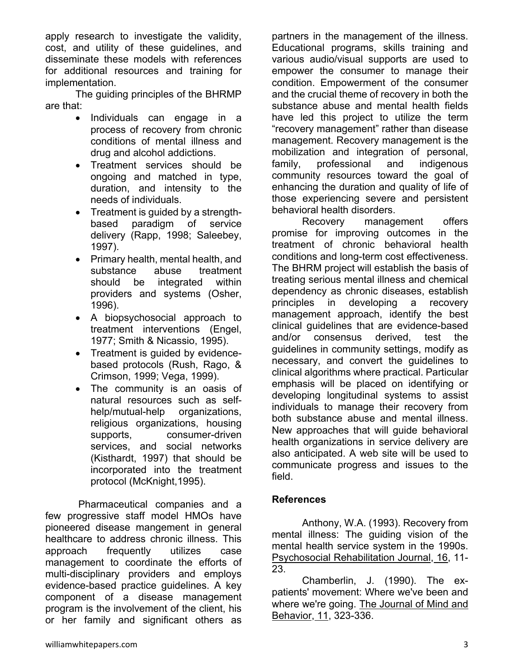apply research to investigate the validity, cost, and utility of these guidelines, and disseminate these models with references for additional resources and training for implementation.

 The guiding principles of the BHRMP are that:

- Individuals can engage in a process of recovery from chronic conditions of mental illness and drug and alcohol addictions.
- Treatment services should be ongoing and matched in type, duration, and intensity to the needs of individuals.
- Treatment is guided by a strengthbased paradigm of service delivery (Rapp, 1998; Saleebey, 1997).
- Primary health, mental health, and substance abuse treatment should be integrated within providers and systems (Osher, 1996).
- A biopsychosocial approach to treatment interventions (Engel, 1977; Smith & Nicassio, 1995).
- Treatment is guided by evidencebased protocols (Rush, Rago, & Crimson, 1999; Vega, 1999).
- The community is an oasis of natural resources such as selfhelp/mutual-help organizations, religious organizations, housing supports, consumer-driven services, and social networks (Kisthardt, 1997) that should be incorporated into the treatment protocol (McKnight,1995).

 Pharmaceutical companies and a few progressive staff model HMOs have pioneered disease mangement in general healthcare to address chronic illness. This approach frequently utilizes case management to coordinate the efforts of multi-disciplinary providers and employs evidence-based practice guidelines. A key component of a disease management program is the involvement of the client, his or her family and significant others as

partners in the management of the illness. Educational programs, skills training and various audio/visual supports are used to empower the consumer to manage their condition. Empowerment of the consumer and the crucial theme of recovery in both the substance abuse and mental health fields have led this project to utilize the term "recovery management" rather than disease management. Recovery management is the mobilization and integration of personal, family, professional and indigenous community resources toward the goal of enhancing the duration and quality of life of those experiencing severe and persistent behavioral health disorders.

Recovery management offers promise for improving outcomes in the treatment of chronic behavioral health conditions and long-term cost effectiveness. The BHRM project will establish the basis of treating serious mental illness and chemical dependency as chronic diseases, establish principles in developing a recovery management approach, identify the best clinical guidelines that are evidence-based and/or consensus derived, test the guidelines in community settings, modify as necessary, and convert the guidelines to clinical algorithms where practical. Particular emphasis will be placed on identifying or developing longitudinal systems to assist individuals to manage their recovery from both substance abuse and mental illness. New approaches that will guide behavioral health organizations in service delivery are also anticipated. A web site will be used to communicate progress and issues to the field.

#### **References**

Anthony, W.A. (1993). Recovery from mental illness: The guiding vision of the mental health service system in the 1990s. Psychosocial Rehabilitation Journal, 16, 11- 23.

Chamberlin, J. (1990). The expatients' movement: Where we've been and where we're going. The Journal of Mind and Behavior, 11, 323-336.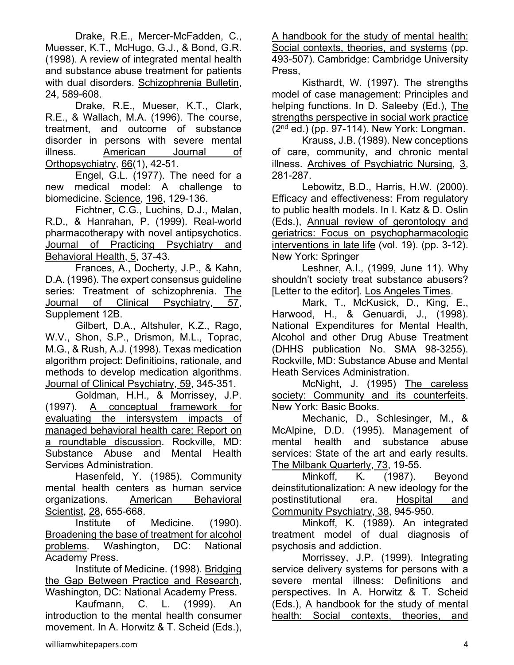Drake, R.E., Mercer-McFadden, C., Muesser, K.T., McHugo, G.J., & Bond, G.R. (1998). A review of integrated mental health and substance abuse treatment for patients with dual disorders. Schizophrenia Bulletin, 24, 589-608.

Drake, R.E., Mueser, K.T., Clark, R.E., & Wallach, M.A. (1996). The course, treatment, and outcome of substance disorder in persons with severe mental illness. American Journal of Orthopsychiatry, 66(1), 42-51.

Engel, G.L. (1977). The need for a new medical model: A challenge to biomedicine. Science, 196, 129-136.

Fichtner, C.G., Luchins, D.J., Malan, R.D., & Hanrahan, P. (1999). Real-world pharmacotherapy with novel antipsychotics. Journal of Practicing Psychiatry and Behavioral Health, 5, 37-43.

Frances, A., Docherty, J.P., & Kahn, D.A. (1996). The expert consensus guideline series: Treatment of schizophrenia. The Journal of Clinical Psychiatry, 57, Supplement 12B.

Gilbert, D.A., Altshuler, K.Z., Rago, W.V., Shon, S.P., Drismon, M.L., Toprac, M.G., & Rush, A.J. (1998). Texas medication algorithm project: Definitioins, rationale, and methods to develop medication algorithms. Journal of Clinical Psychiatry, 59, 345-351.

Goldman, H.H., & Morrissey, J.P. (1997). A conceptual framework for evaluating the intersystem impacts of managed behavioral health care: Report on a roundtable discussion. Rockville, MD: Substance Abuse and Mental Health Services Administration.

Hasenfeld, Y. (1985). Community mental health centers as human service organizations. American Behavioral Scientist, 28, 655-668.

Institute of Medicine. (1990). Broadening the base of treatment for alcohol problems. Washington, DC: National Academy Press.

Institute of Medicine. (1998). Bridging the Gap Between Practice and Research, Washington, DC: National Academy Press.

Kaufmann, C. L. (1999). An introduction to the mental health consumer movement. In A. Horwitz & T. Scheid (Eds.),

A handbook for the study of mental health: Social contexts, theories, and systems (pp. 493-507). Cambridge: Cambridge University Press,

 Kisthardt, W. (1997). The strengths model of case management: Principles and helping functions. In D. Saleeby (Ed.), The strengths perspective in social work practice (2nd ed.) (pp. 97-114). New York: Longman.

Krauss, J.B. (1989). New conceptions of care, community, and chronic mental illness. Archives of Psychiatric Nursing, 3, 281-287.

Lebowitz, B.D., Harris, H.W. (2000). Efficacy and effectiveness: From regulatory to public health models. In I. Katz & D. Oslin (Eds.), Annual review of gerontology and geriatrics: Focus on psychopharmacologic interventions in late life (vol. 19). (pp. 3-12). New York: Springer

Leshner, A.I., (1999, June 11). Why shouldn't society treat substance abusers? [Letter to the editor]. Los Angeles Times.

Mark, T., McKusick, D., King, E., Harwood, H., & Genuardi, J., (1998). National Expenditures for Mental Health, Alcohol and other Drug Abuse Treatment (DHHS publication No. SMA 98-3255). Rockville, MD: Substance Abuse and Mental Heath Services Administration.

McNight, J. (1995) The careless society: Community and its counterfeits. New York: Basic Books.

Mechanic, D., Schlesinger, M., & McAlpine, D.D. (1995). Management of mental health and substance abuse services: State of the art and early results. The Milbank Quarterly, 73, 19-55.

Minkoff, K. (1987). Beyond deinstitutionalization: A new ideology for the postinstitutional era. Hospital and Community Psychiatry, 38, 945-950.

Minkoff, K. (1989). An integrated treatment model of dual diagnosis of psychosis and addiction.

Morrissey, J.P. (1999). Integrating service delivery systems for persons with a severe mental illness: Definitions and perspectives. In A. Horwitz & T. Scheid (Eds.), A handbook for the study of mental health: Social contexts, theories, and